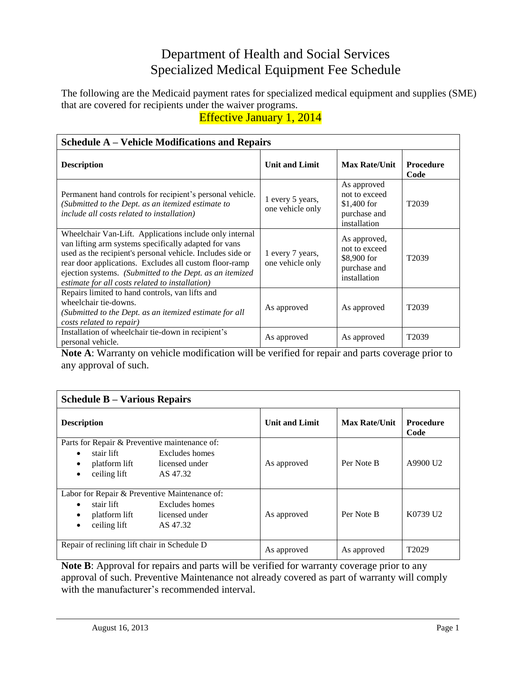## Department of Health and Social Services Specialized Medical Equipment Fee Schedule

The following are the Medicaid payment rates for specialized medical equipment and supplies (SME) that are covered for recipients under the waiver programs.

Effective January 1, 2014

| <b>Schedule A – Vehicle Modifications and Repairs</b>                                                                                                                                                                                                                                                                                                   |                                      |                                                                              |                          |
|---------------------------------------------------------------------------------------------------------------------------------------------------------------------------------------------------------------------------------------------------------------------------------------------------------------------------------------------------------|--------------------------------------|------------------------------------------------------------------------------|--------------------------|
| <b>Description</b>                                                                                                                                                                                                                                                                                                                                      | <b>Unit and Limit</b>                | <b>Max Rate/Unit</b>                                                         | <b>Procedure</b><br>Code |
| Permanent hand controls for recipient's personal vehicle.<br>(Submitted to the Dept. as an itemized estimate to<br>include all costs related to installation)                                                                                                                                                                                           | 1 every 5 years,<br>one vehicle only | As approved<br>not to exceed<br>$$1,400$ for<br>purchase and<br>installation | T <sub>2039</sub>        |
| Wheelchair Van-Lift. Applications include only internal<br>van lifting arm systems specifically adapted for vans<br>used as the recipient's personal vehicle. Includes side or<br>rear door applications. Excludes all custom floor-ramp<br>ejection systems. (Submitted to the Dept. as an itemized<br>estimate for all costs related to installation) | 1 every 7 years,<br>one vehicle only | As approved,<br>not to exceed<br>\$8,900 for<br>purchase and<br>installation | T <sub>2039</sub>        |
| Repairs limited to hand controls, van lifts and<br>wheelchair tie-downs.<br>(Submitted to the Dept. as an itemized estimate for all<br>costs related to repair)                                                                                                                                                                                         | As approved                          | As approved                                                                  | T <sub>2039</sub>        |
| Installation of wheelchair tie-down in recipient's<br>personal vehicle.                                                                                                                                                                                                                                                                                 | As approved                          | As approved                                                                  | T <sub>2039</sub>        |

**Note A**: Warranty on vehicle modification will be verified for repair and parts coverage prior to any approval of such.

| <b>Schedule B – Various Repairs</b>                                                                                                                       |                       |                      |                          |
|-----------------------------------------------------------------------------------------------------------------------------------------------------------|-----------------------|----------------------|--------------------------|
| <b>Description</b>                                                                                                                                        | <b>Unit and Limit</b> | <b>Max Rate/Unit</b> | <b>Procedure</b><br>Code |
| Parts for Repair & Preventive maintenance of:<br>stair lift<br>Excludes homes<br>licensed under<br>platform lift<br>ceiling lift<br>AS 47.32<br>$\bullet$ | As approved           | Per Note B           | A9900 U <sub>2</sub>     |
| Labor for Repair & Preventive Maintenance of:<br>Excludes homes<br>stair lift<br>licensed under<br>platform lift<br>ceiling lift<br>AS 47.32              | As approved           | Per Note B           | K0739 U2                 |
| Repair of reclining lift chair in Schedule D                                                                                                              | As approved           | As approved          | T <sub>2029</sub>        |

**Note B**: Approval for repairs and parts will be verified for warranty coverage prior to any approval of such. Preventive Maintenance not already covered as part of warranty will comply with the manufacturer's recommended interval.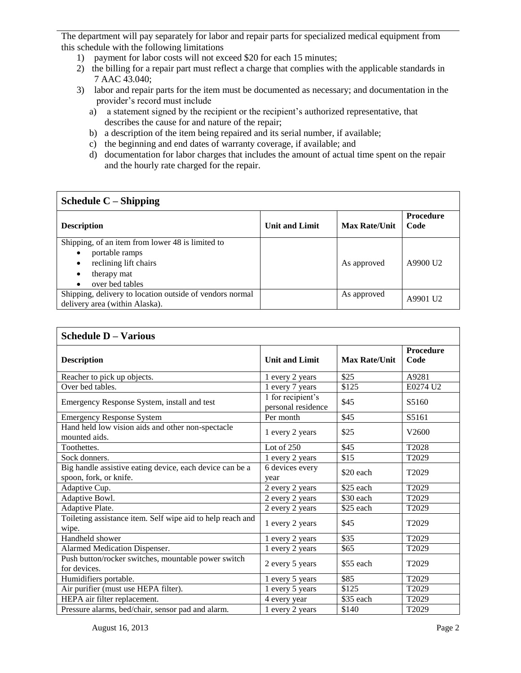The department will pay separately for labor and repair parts for specialized medical equipment from this schedule with the following limitations

- 1) payment for labor costs will not exceed \$20 for each 15 minutes;
- 2) the billing for a repair part must reflect a charge that complies with the applicable standards in 7 AAC 43.040;
- 3) labor and repair parts for the item must be documented as necessary; and documentation in the provider's record must include
	- a) a statement signed by the recipient or the recipient's authorized representative, that describes the cause for and nature of the repair;
	- b) a description of the item being repaired and its serial number, if available;
	- c) the beginning and end dates of warranty coverage, if available; and
	- d) documentation for labor charges that includes the amount of actual time spent on the repair and the hourly rate charged for the repair.

## **Schedule C – Shipping**

| <b>Description</b>                                       | <b>Unit and Limit</b> | <b>Max Rate/Unit</b> | <b>Procedure</b><br>Code |
|----------------------------------------------------------|-----------------------|----------------------|--------------------------|
| Shipping, of an item from lower 48 is limited to         |                       |                      |                          |
| portable ramps<br>$\bullet$                              |                       |                      |                          |
| reclining lift chairs<br>٠                               |                       | As approved          | A9900 U2                 |
| therapy mat<br>$\bullet$                                 |                       |                      |                          |
| over bed tables                                          |                       |                      |                          |
| Shipping, delivery to location outside of vendors normal |                       | As approved          | A9901 U2                 |
| delivery area (within Alaska).                           |                       |                      |                          |

| <b>Schedule D - Various</b>                                                        |                                         |                      |                          |
|------------------------------------------------------------------------------------|-----------------------------------------|----------------------|--------------------------|
| <b>Description</b>                                                                 | <b>Unit and Limit</b>                   | <b>Max Rate/Unit</b> | <b>Procedure</b><br>Code |
| Reacher to pick up objects.                                                        | 1 every 2 years                         | \$25                 | A9281                    |
| Over bed tables.                                                                   | 1 every 7 years                         | \$125                | E0274 U2                 |
| Emergency Response System, install and test                                        | 1 for recipient's<br>personal residence | \$45                 | S5160                    |
| <b>Emergency Response System</b>                                                   | Per month                               | \$45                 | S5161                    |
| Hand held low vision aids and other non-spectacle<br>mounted aids.                 | 1 every 2 years                         | \$25                 | V <sub>2600</sub>        |
| Toothettes.                                                                        | Lot of $250$                            | \$45                 | T2028                    |
| Sock donners.                                                                      | 1 every 2 years                         | \$15                 | T2029                    |
| Big handle assistive eating device, each device can be a<br>spoon, fork, or knife. | 6 devices every<br>year                 | \$20 each            | T <sub>2029</sub>        |
| Adaptive Cup.                                                                      | 2 every 2 years                         | \$25 each            | T2029                    |
| Adaptive Bowl.                                                                     | 2 every 2 years                         | \$30 each            | T2029                    |
| Adaptive Plate.                                                                    | 2 every 2 years                         | \$25 each            | T2029                    |
| Toileting assistance item. Self wipe aid to help reach and<br>wipe.                | 1 every 2 years                         | \$45                 | T2029                    |
| Handheld shower                                                                    | 1 every 2 years                         | \$35                 | T2029                    |
| Alarmed Medication Dispenser.                                                      | 1 every 2 years                         | \$65                 | T <sub>2029</sub>        |
| Push button/rocker switches, mountable power switch<br>for devices.                | 2 every 5 years                         | \$55 each            | T2029                    |
| Humidifiers portable.                                                              | 1 every 5 years                         | \$85                 | T2029                    |
| Air purifier (must use HEPA filter).                                               | 1 every 5 years                         | \$125                | T2029                    |
| HEPA air filter replacement.                                                       | 4 every year                            | \$35 each            | T2029                    |
| Pressure alarms, bed/chair, sensor pad and alarm.                                  | 1 every 2 years                         | \$140                | T <sub>2029</sub>        |